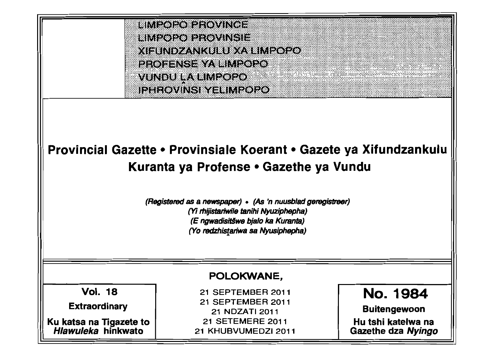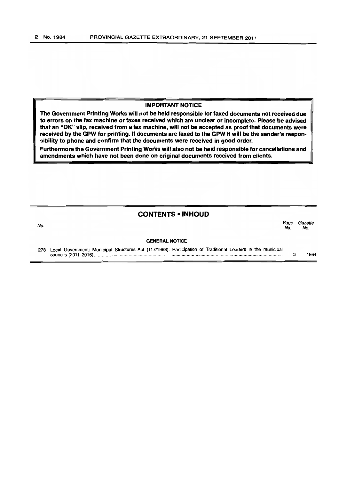## IMPORTANT NOTICE

The Government Printing Works will not be held responsible for faxed documents not received due to errors on the fax machine or faxes received which are unclear or incomplete. Please be advised that an "OK" slip, received from a fax machine, will not be accepted as proof that documents were received by the GPW for printing. If documents are faxed to the GPW It will be the sender's responsibility to phone and confirm that the documents were received in good order.

Furthermore the Government Printing Works will also not be held responsible for cancellations and amendments which have not been done on original documents received from clients.

#### CONTENTS • INHOUD

#### No. Page Gazette No. No.

#### GENERAL NOTICE

278 Local Government: Municipal Structures Act (117/1998); Participation of Traditional Leaders in the municipal councils (2011-2016) ................................................................................................................................................... .. 3 1984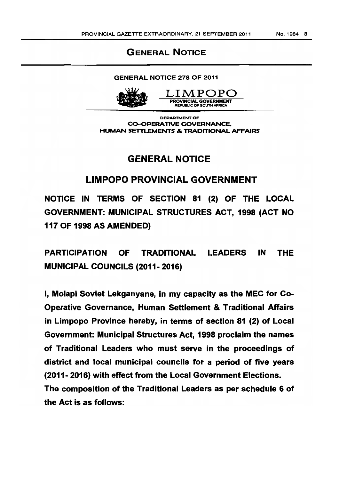## GENERAL NOTICE

### GENERAL NOTICE 278 OF 2011



LI.MPOPO PROVINCIAL GOVERNMENT REPUBLIC OF SOUTH AFRICA

DEPARTMENT OF CO-OPERATIVE GOVERNANCE, HUMAN SETTLEMENTS & TRADITIONAL AFFAIRS

# GENERAL NOTICE

## LIMPOPO PROVINCIAL GOVERNMENT

NOTICE IN TERMS OF SECTION 81 (2) OF THE LOCAL GOVERNMENT: MUNICIPAL STRUCTURES ACT, 1998 (ACT NO 117 OF 1998 AS AMENDED)

PARTICIPATION OF TRADITIONAL LEADERS IN THE MUNICIPAL COUNCILS (2011- 2016)

I, Molapi Soviet Lekganyane, in my capacity as the MEC for Co-Operative Governance, Human Settlement & Traditional Affairs in Limpopo Province hereby, in terms of section 81 (2) of Local Government: Municipal Structures Act, 1998 proclaim the names of Traditional Leaders who must serve in the proceedings of district and local municipal councils for a period of five years (2011- 2016) with effect from the Local Government Elections.

The composition of the Traditional Leaders as per schedule 6 of the Act is as follows: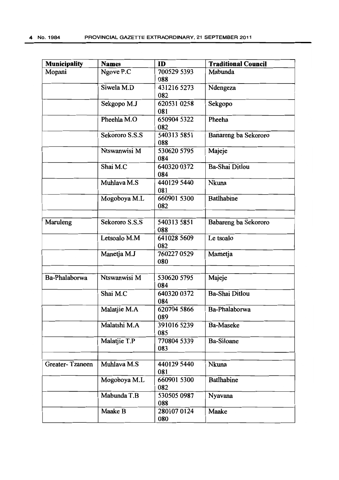| Municipality    | <b>Names</b>   | ID                 | <b>Traditional Council</b> |
|-----------------|----------------|--------------------|----------------------------|
| Mopani          | Ngove P.C      | 700529 5393<br>088 | Mabunda                    |
|                 | Siwela M.D     | 431216 5273<br>082 | Ndengeza                   |
|                 | Sekgopo M.J    | 620531 0258<br>081 | Sekgopo                    |
|                 | Pheehla M.O    | 650904 5322<br>082 | Pheeha                     |
|                 | Sekororo S.S.S | 540313 5851<br>088 | Banareng ba Sekororo       |
|                 | Ntswanwisi M   | 530620 5795<br>084 | Majeje                     |
|                 | Shai M.C       | 640320 0372<br>084 | Ba-Shai Ditlou             |
|                 | Muhlava M.S    | 440129 5440<br>081 | Nkuna                      |
|                 | Mogoboya M.L   | 660901 5300<br>082 | <b>Batlhabine</b>          |
| Maruleng        | Sekororo S.S.S | 540313 5851<br>088 | Babareng ba Sekororo       |
|                 | Letsoalo M.M   | 641028 5609<br>082 | Le tsoalo                  |
|                 | Manetja M.J    | 760227 0529<br>080 | Mametja                    |
| Ba-Phalaborwa   | Ntswanwisi M   | 530620 5795<br>084 | Majeje                     |
|                 | Shai M.C       | 640320 0372<br>084 | <b>Ba-Shai Ditlou</b>      |
|                 | Malatjie M.A   | 620704 5866<br>089 | Ba-Phalaborwa              |
|                 | Malatshi M.A   | 391016 5239<br>085 | <b>Ba-Maseke</b>           |
|                 | Malatjie T.P   | 770804 5339<br>083 | <b>Ba-Siloane</b>          |
| Greater-Tzaneen | Muhlava M.S    | 440129 5440<br>081 | <b>Nkuna</b>               |
|                 | Mogoboya M.L   | 660901 5300<br>082 | <b>Batlhabine</b>          |
|                 | Mabunda T.B    | 530505 0987<br>088 | Nyavana                    |
|                 | Maake B        | 280107 0124<br>080 | Maake                      |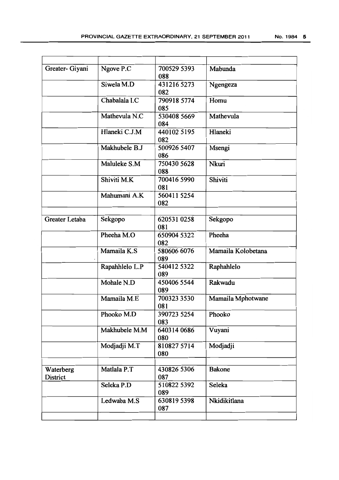| No. 1984 | 5 |
|----------|---|
|          |   |

| Greater- Giyani       | Ngove P.C      | 700529 5393<br>088 | Mabunda            |
|-----------------------|----------------|--------------------|--------------------|
|                       | Siwela M.D     | 431216 5273<br>082 | Ngengeza           |
|                       | Chabalala I.C  | 790918 5774<br>085 | Homu               |
|                       | Mathevula N.C  | 530408 5669<br>084 | Mathevula          |
|                       | Hlaneki C.J.M  | 440102 5195<br>082 | Hlaneki            |
|                       | Makhubele B.J  | 500926 5407<br>086 | Msengi             |
|                       | Maluleke S.M   | 750430 5628<br>088 | Nkuri              |
|                       | Shiviti M.K    | 700416 5990<br>081 | Shiviti            |
|                       | Mahumani A.K   | 560411 5254<br>082 |                    |
| Greater Letaba        | Sekgopo        | 620531 0258<br>081 | Sekgopo            |
|                       | Pheeha M.O     | 650904 5322<br>082 | Pheeha             |
|                       | Mamaila K.S    | 580606 6076<br>089 | Mamaila Kolobetana |
|                       | Rapahhlelo L.P | 540412 5322<br>089 | Raphahlelo         |
|                       | Mohale N.D     | 450406 5544<br>089 | Rakwadu            |
|                       | Mamaila M.E    | 700323 3530<br>081 | Mamaila Mphotwane  |
|                       | Phooko M.D     | 390723 5254<br>083 | Phooko             |
|                       | Makhubele M.M  | 640314 0686<br>080 | Vuyani             |
|                       | Modjadji M.T   | 810827 5714<br>080 | Modjadji           |
| Waterberg<br>District | Matlala P.T    | 430826 5306<br>087 | <b>Bakone</b>      |
|                       | Seleka P.D     | 510822 5392<br>089 | Seleka             |
|                       | Ledwaba M.S    | 6308195398<br>087  | Nkidikitlana       |
|                       |                |                    |                    |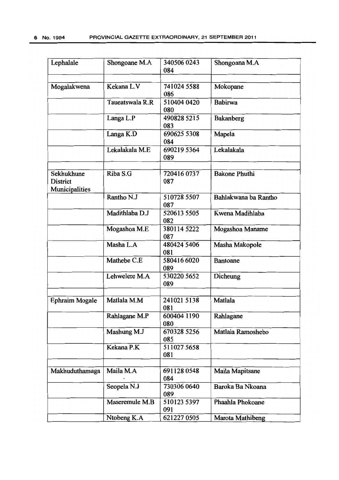| Lephalale                                       | Shongoane M.A   | 340506 0243<br>084 | Shongoana M.A        |
|-------------------------------------------------|-----------------|--------------------|----------------------|
| Mogalakwena                                     | Kekana L.V      | 741024 5588<br>086 | Mokopane             |
|                                                 | Taueatswala R.R | 510404 0420<br>080 | Babirwa              |
|                                                 | Langa L.P       | 490828 5215<br>083 | Bakanberg            |
|                                                 | Langa K.D       | 690625 5308<br>084 | Mapela               |
|                                                 | Lekalakala M.E  | 690219 5364<br>089 | Lekalakala           |
| Sekhukhune<br><b>District</b><br>Municipalities | Riba S.G        | 720416 0737<br>087 | <b>Bakone Phuthi</b> |
|                                                 | Rantho N.J      | 510728 5507<br>087 | Bahlakwana ba Rantho |
|                                                 | Madithlaba D.J  | 520613 5505<br>082 | Kwena Madihlaba      |
|                                                 | Mogashoa M.E    | 380114 5222<br>087 | Mogashoa Maname      |
|                                                 | Masha L.A       | 480424 5406<br>081 | Masha Makopole       |
|                                                 | Mathebe C.E     | 580416 6020<br>089 | <b>Bantoane</b>      |
|                                                 | Lehwelere M.A   | 530220 5652<br>089 | Dicheung             |
| <b>Ephraim Mogale</b>                           | Matlala M.M     | 241021 5138<br>081 | Matlala              |
|                                                 | Rahlagane M.P   | 600404 1190<br>080 | Rahlagane            |
|                                                 | Mashung M.J     | 670328 5256<br>085 | Matlala Ramoshebo    |
|                                                 | Kekana P.K      | 5110275658<br>081  |                      |
| Makhuduthamaga                                  | Maila M.A       | 6911280548<br>084  | Maila Mapitsane      |
|                                                 | Seopela N.J     | 730306 0640<br>089 | Baroka Ba Nkoana     |
|                                                 | Maseremule M.B  | 510123 5397<br>091 | Phaahla Phokoane     |
|                                                 | Ntobeng K.A     | 621227 0505        | Marota Mathibeng     |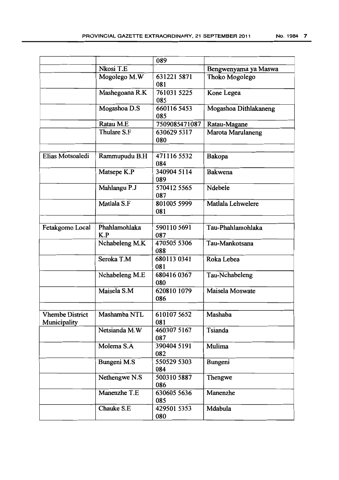|                                        |                      | 089                |                       |
|----------------------------------------|----------------------|--------------------|-----------------------|
|                                        | Nkosi T.E            |                    | Bengwenyama ya Maswa  |
|                                        | Mogolego M.W         | 631221 5871<br>081 | Thoko Mogolego        |
|                                        | Mashegoana R.K       | 761031 5225<br>085 | Kone Legea            |
|                                        | Mogashoa D.S         | 660116 5453<br>085 | Mogashoa Dithlakaneng |
|                                        | Ratau M.E            | 7509085471087      | Ratau-Magane          |
|                                        | Thulare S.F          | 630629 5317<br>080 | Marota Marulaneng     |
| Elias Motsoaledi                       | Rammupudu B.H        | 471116 5532<br>084 | Bakopa                |
|                                        | Matsepe K.P          | 340904 5114<br>089 | Bakwena               |
|                                        | Mahlangu P.J         | 570412 5565<br>087 | Ndebele               |
|                                        | Matlala S.F          | 801005 5999<br>081 | Matlala Lehwelere     |
| Fetakgomo Local                        | Phahlamohlaka<br>K.P | 5901105691<br>087  | Tau-Phahlamohlaka     |
|                                        | Nchabeleng M.K       | 470505 5306<br>088 | Tau-Mankotsana        |
|                                        | Seroka T.M           | 680113 0341<br>081 | Roka Lebea            |
|                                        | Nchabeleng M.E       | 6804160367<br>080  | Tau-Nchabeleng        |
|                                        | Maisela S.M          | 620810 1079<br>086 | Maisela Moswate       |
| <b>Vhembe District</b><br>Municipality | Mashamba NTL         | 610107 5652<br>081 | Mashaba               |
|                                        | Netsianda M.W        | 460307 5167<br>087 | Tsianda               |
|                                        | Molema S.A           | 390404 5191<br>082 | Mulima                |
|                                        | Bungeni M.S          | 550529 5303<br>084 | Bungeni               |
|                                        | Nethengwe N.S        | 500310 5887<br>086 | Thengwe               |
|                                        | Manenzhe T.E         | 630605 5636<br>085 | Manenzhe              |
|                                        | Chauke S.E           | 429501 5353<br>080 | Mdabula               |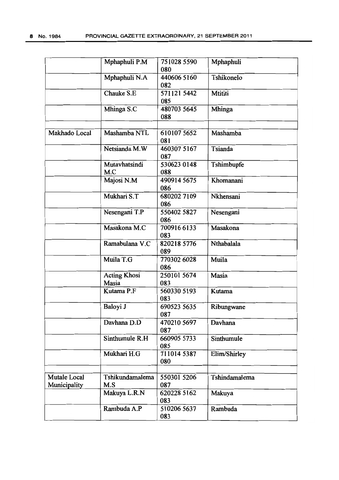|                              | Mphaphuli P.M                | 751028 5590<br>080 | Mphaphuli      |
|------------------------------|------------------------------|--------------------|----------------|
|                              | Mphaphuli N.A                | 440606 5160<br>082 | Tshikonelo     |
|                              | Chauke S.E                   | 571121 5442<br>085 | <b>Mtititi</b> |
|                              | Mhinga S.C                   | 480703 5645<br>088 | Mhinga         |
| Makhado Local                | Mashamba NTL                 | 610107 5652<br>081 | Mashamba       |
|                              | Netsianda M.W                | 460307 5167<br>087 | Tsianda        |
|                              | Mutavhatsindi<br>M.C         | 530623 0148<br>088 | Tshimbupfe     |
|                              | Majosi N.M                   | 490914 5675<br>086 | Khomanani      |
|                              | Mukhari S.T                  | 6802027109<br>086  | Nkhensani      |
|                              | Nesengani T.P                | 550402 5827<br>086 | Nesengani      |
|                              | Masakona M.C                 | 700916 6133<br>083 | Masakona       |
|                              | Ramabulana V.C               | 820218 5776<br>089 | Nthabalala     |
|                              | Muila T.G                    | 770302 6028<br>086 | Muila          |
|                              | <b>Acting Khosi</b><br>Masia | 250101 5674<br>083 | Masia          |
|                              | Kutama P.F                   | 560330 5193<br>083 | Kutama         |
|                              | Baloyi J                     | 690523 5635<br>087 | Ribungwane     |
|                              | Davhana D.D                  | 470210 5697<br>087 | Davhana        |
|                              | Sinthumule R.H               | 660905 5733<br>085 | Sinthumule     |
|                              | Mukhari H.G                  | 711014 5387<br>080 | Elim/Shirley   |
| Mutale Local<br>Municipality | Tshikundamalema<br>M.S       | 550301 5206<br>087 | Tshindamalema  |
|                              | Makuya L.R.N                 | 620228 5162<br>083 | Makuya         |
|                              | Rambuda A.P                  | 510206 5637<br>083 | Rambuda        |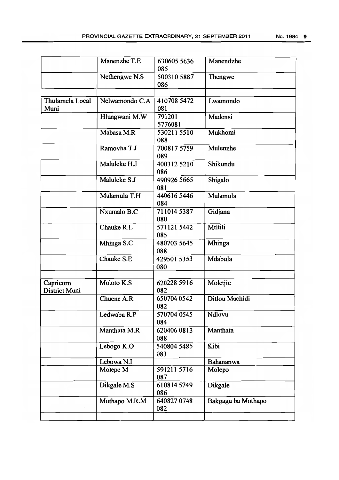|                            | Manenzhe T.E   | 630605 5636<br>085 | Manendzhe          |
|----------------------------|----------------|--------------------|--------------------|
|                            | Nethengwe N.S  | 500310 5887<br>086 | Thengwe            |
|                            |                |                    |                    |
| Thulamela Local<br>Muni    | Nelwamondo C.A | 410708 5472<br>081 | Lwamondo           |
|                            | Hlungwani M.W  | 791201<br>5776081  | Madonsi            |
|                            | Mabasa M.R     | 530211 5510<br>088 | Mukhomi            |
|                            | Ramovha T.J    | 700817 5759<br>089 | Mulenzhe           |
|                            | Maluleke H.J   | 400312 5210<br>086 | Shikundu           |
|                            | Maluleke S.J   | 490926 5665<br>081 | Shigalo            |
|                            | Mulamula T.H   | 440616 5446<br>084 | Mulamula           |
|                            | Nxumalo B.C    | 711014 5387<br>080 | Gidjana            |
|                            | Chauke R.L     | 571121 5442<br>085 | Mtititi            |
|                            | Mhinga S.C     | 480703 5645<br>088 | Mhinga             |
|                            | Chauke S.E     | 429501 5353<br>080 | Mdabula            |
|                            |                |                    |                    |
| Capricorn<br>District Muni | Moloto K.S     | 620228 5916<br>082 | Moletjie           |
|                            | Chuene A.R     | 650704 0542<br>082 | Ditlou Machidi     |
|                            | Ledwaba R.P    | 570704 0545<br>084 | Ndlovu             |
|                            | Manthata M.R   | 620406 0813<br>088 | Manthata           |
|                            | Lebogo K.O     | 540804 5485<br>083 | Kibi               |
|                            | Lebowa N.I     |                    | Bahananwa          |
|                            | Molepe M       | 591211 5716<br>087 | Molepo             |
|                            | Dikgale M.S    | 610814 5749<br>086 | Dikgale            |
|                            | Mothapo M.R.M  | 640827 0748<br>082 | Bakgaga ba Mothapo |
|                            |                |                    |                    |